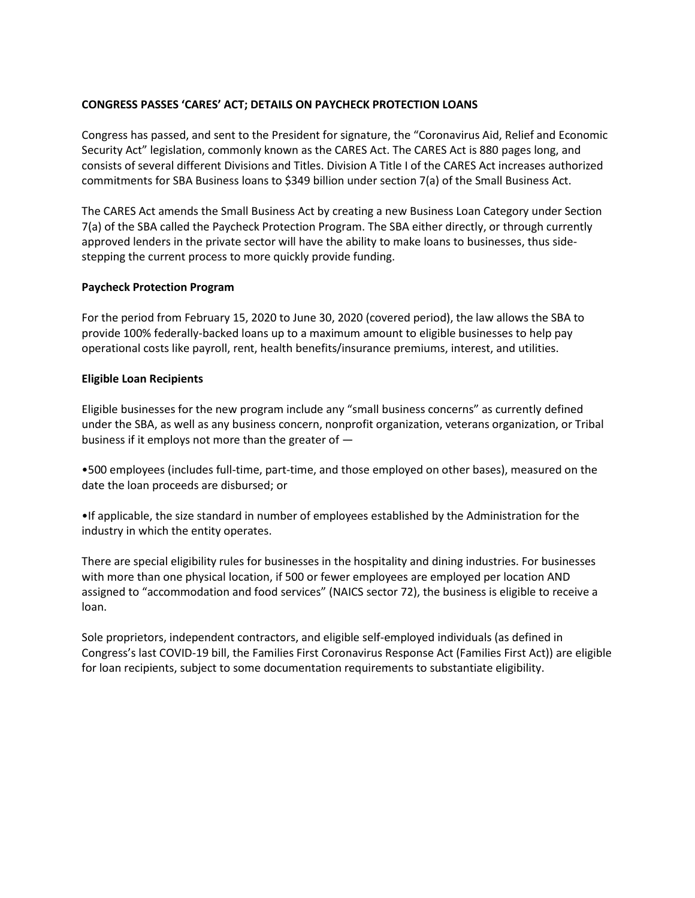# **CONGRESS PASSES 'CARES' ACT; DETAILS ON PAYCHECK PROTECTION LOANS**

Congress has passed, and sent to the President for signature, the "Coronavirus Aid, Relief and Economic Security Act" legislation, commonly known as the CARES Act. The CARES Act is 880 pages long, and consists of several different Divisions and Titles. Division A Title I of the CARES Act increases authorized commitments for SBA Business loans to \$349 billion under section 7(a) of the Small Business Act.

The CARES Act amends the Small Business Act by creating a new Business Loan Category under Section 7(a) of the SBA called the Paycheck Protection Program. The SBA either directly, or through currently approved lenders in the private sector will have the ability to make loans to businesses, thus sidestepping the current process to more quickly provide funding.

# **Paycheck Protection Program**

For the period from February 15, 2020 to June 30, 2020 (covered period), the law allows the SBA to provide 100% federally-backed loans up to a maximum amount to eligible businesses to help pay operational costs like payroll, rent, health benefits/insurance premiums, interest, and utilities.

## **Eligible Loan Recipients**

Eligible businesses for the new program include any "small business concerns" as currently defined under the SBA, as well as any business concern, nonprofit organization, veterans organization, or Tribal business if it employs not more than the greater of —

•500 employees (includes full-time, part-time, and those employed on other bases), measured on the date the loan proceeds are disbursed; or

•If applicable, the size standard in number of employees established by the Administration for the industry in which the entity operates.

There are special eligibility rules for businesses in the hospitality and dining industries. For businesses with more than one physical location, if 500 or fewer employees are employed per location AND assigned to "accommodation and food services" (NAICS sector 72), the business is eligible to receive a loan.

Sole proprietors, independent contractors, and eligible self-employed individuals (as defined in Congress's last COVID-19 bill, the Families First Coronavirus Response Act (Families First Act)) are eligible for loan recipients, subject to some documentation requirements to substantiate eligibility.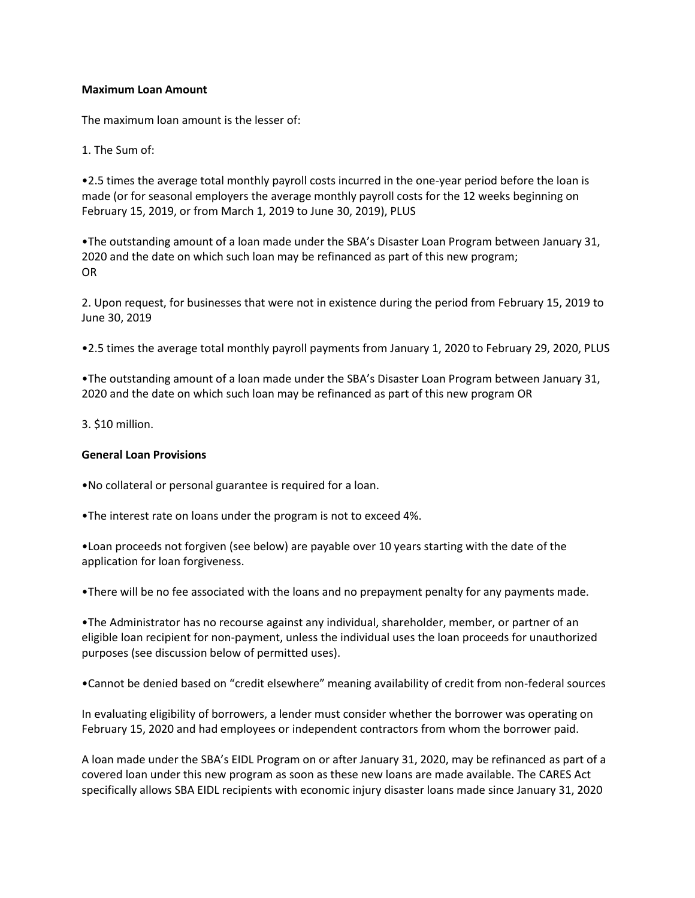### **Maximum Loan Amount**

The maximum loan amount is the lesser of:

1. The Sum of:

•2.5 times the average total monthly payroll costs incurred in the one-year period before the loan is made (or for seasonal employers the average monthly payroll costs for the 12 weeks beginning on February 15, 2019, or from March 1, 2019 to June 30, 2019), PLUS

•The outstanding amount of a loan made under the SBA's Disaster Loan Program between January 31, 2020 and the date on which such loan may be refinanced as part of this new program; OR

2. Upon request, for businesses that were not in existence during the period from February 15, 2019 to June 30, 2019

•2.5 times the average total monthly payroll payments from January 1, 2020 to February 29, 2020, PLUS

•The outstanding amount of a loan made under the SBA's Disaster Loan Program between January 31, 2020 and the date on which such loan may be refinanced as part of this new program OR

3. \$10 million.

### **General Loan Provisions**

•No collateral or personal guarantee is required for a loan.

•The interest rate on loans under the program is not to exceed 4%.

•Loan proceeds not forgiven (see below) are payable over 10 years starting with the date of the application for loan forgiveness.

•There will be no fee associated with the loans and no prepayment penalty for any payments made.

•The Administrator has no recourse against any individual, shareholder, member, or partner of an eligible loan recipient for non-payment, unless the individual uses the loan proceeds for unauthorized purposes (see discussion below of permitted uses).

•Cannot be denied based on "credit elsewhere" meaning availability of credit from non-federal sources

In evaluating eligibility of borrowers, a lender must consider whether the borrower was operating on February 15, 2020 and had employees or independent contractors from whom the borrower paid.

A loan made under the SBA's EIDL Program on or after January 31, 2020, may be refinanced as part of a covered loan under this new program as soon as these new loans are made available. The CARES Act specifically allows SBA EIDL recipients with economic injury disaster loans made since January 31, 2020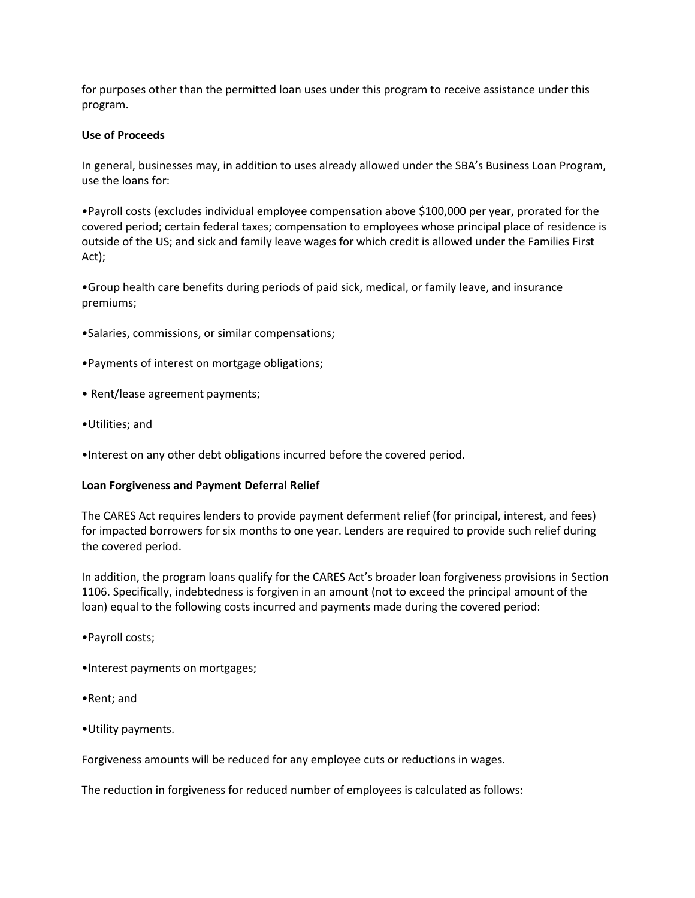for purposes other than the permitted loan uses under this program to receive assistance under this program.

# **Use of Proceeds**

In general, businesses may, in addition to uses already allowed under the SBA's Business Loan Program, use the loans for:

•Payroll costs (excludes individual employee compensation above \$100,000 per year, prorated for the covered period; certain federal taxes; compensation to employees whose principal place of residence is outside of the US; and sick and family leave wages for which credit is allowed under the Families First Act);

•Group health care benefits during periods of paid sick, medical, or family leave, and insurance premiums;

- •Salaries, commissions, or similar compensations;
- •Payments of interest on mortgage obligations;
- Rent/lease agreement payments;
- •Utilities; and
- •Interest on any other debt obligations incurred before the covered period.

#### **Loan Forgiveness and Payment Deferral Relief**

The CARES Act requires lenders to provide payment deferment relief (for principal, interest, and fees) for impacted borrowers for six months to one year. Lenders are required to provide such relief during the covered period.

In addition, the program loans qualify for the CARES Act's broader loan forgiveness provisions in Section 1106. Specifically, indebtedness is forgiven in an amount (not to exceed the principal amount of the loan) equal to the following costs incurred and payments made during the covered period:

- •Payroll costs;
- •Interest payments on mortgages;
- •Rent; and
- •Utility payments.

Forgiveness amounts will be reduced for any employee cuts or reductions in wages.

The reduction in forgiveness for reduced number of employees is calculated as follows: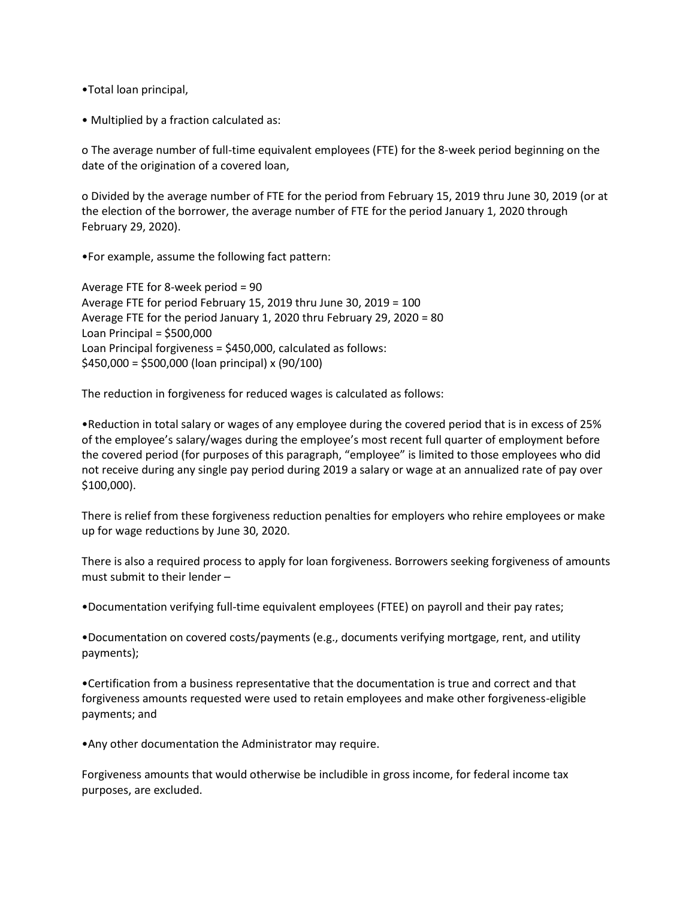•Total loan principal,

• Multiplied by a fraction calculated as:

o The average number of full-time equivalent employees (FTE) for the 8-week period beginning on the date of the origination of a covered loan,

o Divided by the average number of FTE for the period from February 15, 2019 thru June 30, 2019 (or at the election of the borrower, the average number of FTE for the period January 1, 2020 through February 29, 2020).

•For example, assume the following fact pattern:

Average FTE for 8-week period = 90 Average FTE for period February 15, 2019 thru June 30, 2019 = 100 Average FTE for the period January 1, 2020 thru February 29, 2020 = 80 Loan Principal = \$500,000 Loan Principal forgiveness = \$450,000, calculated as follows:  $$450,000 = $500,000$  (loan principal) x (90/100)

The reduction in forgiveness for reduced wages is calculated as follows:

•Reduction in total salary or wages of any employee during the covered period that is in excess of 25% of the employee's salary/wages during the employee's most recent full quarter of employment before the covered period (for purposes of this paragraph, "employee" is limited to those employees who did not receive during any single pay period during 2019 a salary or wage at an annualized rate of pay over \$100,000).

There is relief from these forgiveness reduction penalties for employers who rehire employees or make up for wage reductions by June 30, 2020.

There is also a required process to apply for loan forgiveness. Borrowers seeking forgiveness of amounts must submit to their lender –

•Documentation verifying full-time equivalent employees (FTEE) on payroll and their pay rates;

•Documentation on covered costs/payments (e.g., documents verifying mortgage, rent, and utility payments);

•Certification from a business representative that the documentation is true and correct and that forgiveness amounts requested were used to retain employees and make other forgiveness-eligible payments; and

•Any other documentation the Administrator may require.

Forgiveness amounts that would otherwise be includible in gross income, for federal income tax purposes, are excluded.